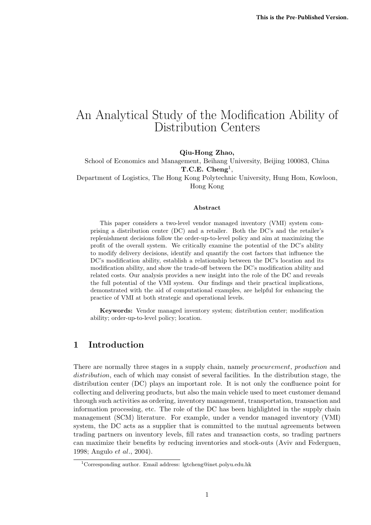# An Analytical Study of the Modification Ability of Distribution Centers

Qiu-Hong Zhao,

School of Economics and Management, Beihang University, Beijing 100083, China  $T.C.E.~\text{Cheng}^1,$ Department of Logistics, The Hong Kong Polytechnic University, Hung Hom, Kowloon,

Hong Kong

#### Abstract

This paper considers a two-level vendor managed inventory (VMI) system comprising a distribution center (DC) and a retailer. Both the DC's and the retailer's replenishment decisions follow the order-up-to-level policy and aim at maximizing the profit of the overall system. We critically examine the potential of the DC's ability to modify delivery decisions, identify and quantify the cost factors that influence the DC's modification ability, establish a relationship between the DC's location and its modification ability, and show the trade-off between the DC's modification ability and related costs. Our analysis provides a new insight into the role of the DC and reveals the full potential of the VMI system. Our findings and their practical implications, demonstrated with the aid of computational examples, are helpful for enhancing the practice of VMI at both strategic and operational levels.

Keywords: Vendor managed inventory system; distribution center; modification ability; order-up-to-level policy; location.

## 1 Introduction

There are normally three stages in a supply chain, namely procurement, production and distribution, each of which may consist of several facilities. In the distribution stage, the distribution center (DC) plays an important role. It is not only the confluence point for collecting and delivering products, but also the main vehicle used to meet customer demand through such activities as ordering, inventory management, transportation, transaction and information processing, etc. The role of the DC has been highlighted in the supply chain management (SCM) literature. For example, under a vendor managed inventory (VMI) system, the DC acts as a supplier that is committed to the mutual agreements between trading partners on inventory levels, fill rates and transaction costs, so trading partners can maximize their benefits by reducing inventories and stock-outs (Aviv and Federguen, 1998; Angulo et al., 2004).

<sup>&</sup>lt;sup>1</sup>Corresponding author. Email address: lgtcheng@inet.polyu.edu.hk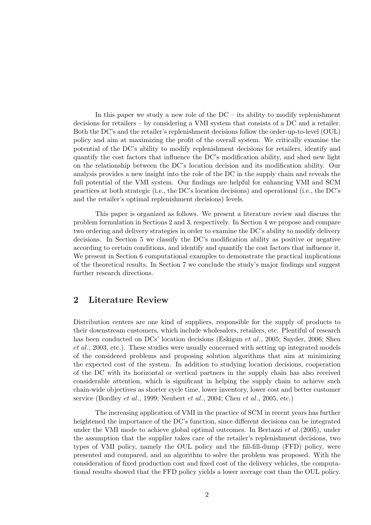In this paper we study a new role of the  $DC -$  its ability to modify replenishment decisions for retailers – by considering a VMI system that consists of a DC and a retailer. Both the DC's and the retailer's replenishment decisions follow the order-up-to-level (OUL) policy and aim at maximizing the profit of the overall system. We critically examine the potential of the DC's ability to modify replenishment decisions for retailers, identify and quantify the cost factors that influence the DC's modification ability, and shed new light on the relationship between the DC's location decision and its modification ability. Our analysis provides a new insight into the role of the DC in the supply chain and reveals the full potential of the VMI system. Our findings are helpful for enhancing VMI and SCM practices at both strategic (i.e., the DC's location decisions) and operational (i.e., the DC's and the retailer's optimal replenishment decisions) levels.

This paper is organized as follows. We present a literature review and discuss the problem formulation in Sections 2 and 3, respectively. In Section 4 we propose and compare two ordering and delivery strategies in order to examine the DC's ability to modify delivery decisions. In Section 5 we classify the DC's modification ability as positive or negative according to certain conditions, and identify and quantify the cost factors that influence it. We present in Section 6 computational examples to demonstrate the practical implications of the theoretical results. In Section 7 we conclude the study's major findings and suggest further research directions.

### 2 Literature Review

Distribution centers are one kind of suppliers, responsible for the supply of products to their downstream customers, which include wholesalers, retailers, etc. Plentiful of research has been conducted on DCs' location decisions (Eskigun *et al.*, 2005; Snyder, 2006; Shen et al., 2003, etc.). These studies were usually concerned with setting up integrated models of the considered problems and proposing solution algorithms that aim at minimizing the expected cost of the system. In addition to studying location decisions, cooperation of the DC with its horizontal or vertical partners in the supply chain has also received considerable attention, which is significant in helping the supply chain to achieve such chain-wide objectives as shorter cycle time, lower inventory, lower cost and better customer service (Bordley et al., 1999; Neubert et al., 2004; Chen et al., 2005, etc.)

The increasing application of VMI in the practice of SCM in recent years has further heightened the importance of the DC's function, since different decisions can be integrated under the VMI mode to achieve global optimal outcomes. In Bertazzi *et al.*(2005), under the assumption that the supplier takes care of the retailer's replenishment decisions, two types of VMI policy, namely the OUL policy and the fill-fill-dump (FFD) policy, were presented and compared, and an algorithm to solve the problem was proposed. With the consideration of fixed production cost and fixed cost of the delivery vehicles, the computational results showed that the FFD policy yields a lower average cost than the OUL policy.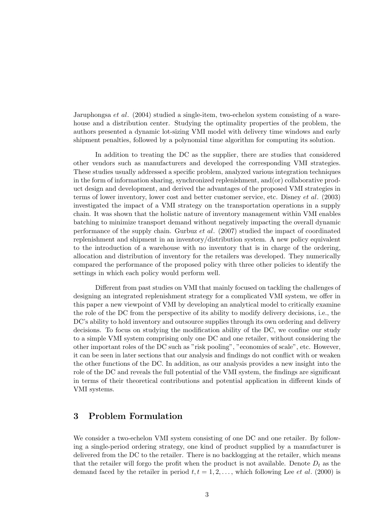Jaruphongsa et al. (2004) studied a single-item, two-echelon system consisting of a warehouse and a distribution center. Studying the optimality properties of the problem, the authors presented a dynamic lot-sizing VMI model with delivery time windows and early shipment penalties, followed by a polynomial time algorithm for computing its solution.

In addition to treating the DC as the supplier, there are studies that considered other vendors such as manufacturers and developed the corresponding VMI strategies. These studies usually addressed a specific problem, analyzed various integration techniques in the form of information sharing, synchronized replenishment, and(or) collaborative product design and development, and derived the advantages of the proposed VMI strategies in terms of lower inventory, lower cost and better customer service, etc. Disney et al. (2003) investigated the impact of a VMI strategy on the transportation operations in a supply chain. It was shown that the holistic nature of inventory management within VMI enables batching to minimize transport demand without negatively impacting the overall dynamic performance of the supply chain. Gurbuz et al. (2007) studied the impact of coordinated replenishment and shipment in an inventory/distribution system. A new policy equivalent to the introduction of a warehouse with no inventory that is in charge of the ordering, allocation and distribution of inventory for the retailers was developed. They numerically compared the performance of the proposed policy with three other policies to identify the settings in which each policy would perform well.

Different from past studies on VMI that mainly focused on tackling the challenges of designing an integrated replenishment strategy for a complicated VMI system, we offer in this paper a new viewpoint of VMI by developing an analytical model to critically examine the role of the DC from the perspective of its ability to modify delivery decisions, i.e., the DC's ability to hold inventory and outsource supplies through its own ordering and delivery decisions. To focus on studying the modification ability of the DC, we confine our study to a simple VMI system comprising only one DC and one retailer, without considering the other important roles of the DC such as "risk pooling", "economies of scale", etc. However, it can be seen in later sections that our analysis and findings do not conflict with or weaken the other functions of the DC. In addition, as our analysis provides a new insight into the role of the DC and reveals the full potential of the VMI system, the findings are significant in terms of their theoretical contributions and potential application in different kinds of VMI systems.

## 3 Problem Formulation

We consider a two-echelon VMI system consisting of one DC and one retailer. By following a single-period ordering strategy, one kind of product supplied by a manufacturer is delivered from the DC to the retailer. There is no backlogging at the retailer, which means that the retailer will forgo the profit when the product is not available. Denote  $D_t$  as the demand faced by the retailer in period  $t, t = 1, 2, \ldots$ , which following Lee *et al.* (2000) is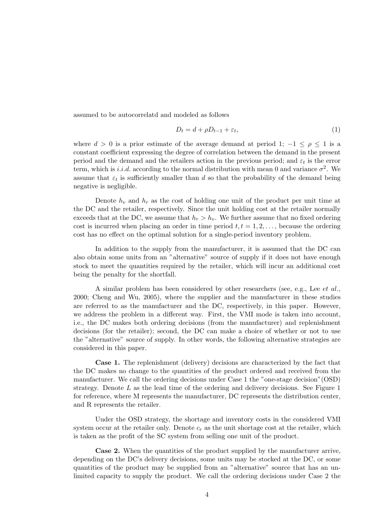assumed to be autocorrelatd and modeled as follows

$$
D_t = d + \rho D_{t-1} + \varepsilon_t,\tag{1}
$$

where  $d > 0$  is a prior estimate of the average demand at period 1;  $-1 \leq \rho \leq 1$  is a constant coefficient expressing the degree of correlation between the demand in the present period and the demand and the retailers action in the previous period; and  $\varepsilon_t$  is the error term, which is *i.i.d.* according to the normal distribution with mean 0 and variance  $\sigma^2$ . We assume that  $\varepsilon_t$  is sufficiently smaller than d so that the probability of the demand being negative is negligible.

Denote  $h_v$  and  $h_r$  as the cost of holding one unit of the product per unit time at the DC and the retailer, respectively. Since the unit holding cost at the retailer normally exceeds that at the DC, we assume that  $h_r > h_v$ . We further assume that no fixed ordering cost is incurred when placing an order in time period  $t, t = 1, 2, \ldots$ , because the ordering cost has no effect on the optimal solution for a single-period inventory problem.

In addition to the supply from the manufacturer, it is assumed that the DC can also obtain some units from an "alternative" source of supply if it does not have enough stock to meet the quantities required by the retailer, which will incur an additional cost being the penalty for the shortfall.

A similar problem has been considered by other researchers (see, e.g., Lee et al., 2000; Cheng and Wu, 2005), where the supplier and the manufacturer in these studies are referred to as the manufacturer and the DC, respectively, in this paper. However, we address the problem in a different way. First, the VMI mode is taken into account, i.e., the DC makes both ordering decisions (from the manufacturer) and replenishment decisions (for the retailer); second, the DC can make a choice of whether or not to use the "alternative" source of supply. In other words, the following alternative strategies are considered in this paper.

Case 1. The replenishment (delivery) decisions are characterized by the fact that the DC makes no change to the quantities of the product ordered and received from the manufacturer. We call the ordering decisions under Case 1 the "one-stage decision"(OSD) strategy. Denote  $L$  as the lead time of the ordering and delivery decisions. See Figure 1 for reference, where M represents the manufacturer, DC represents the distribution center, and R represents the retailer.

Uuder the OSD strategy, the shortage and inventory costs in the considered VMI system occur at the retailer only. Denote  $c_r$  as the unit shortage cost at the retailer, which is taken as the profit of the SC system from selling one unit of the product.

Case 2. When the quantities of the product supplied by the manufacturer arrive, depending on the DC's delivery decisions, some units may be stocked at the DC, or some quantities of the product may be supplied from an "alternative" source that has an unlimited capacity to supply the product. We call the ordering decisions under Case 2 the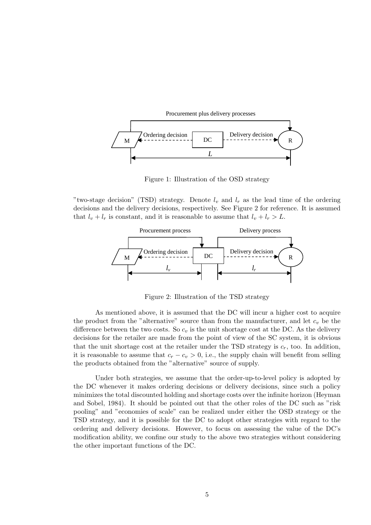

Figure 1: Illustration of the OSD strategy

"two-stage decision" (TSD) strategy. Denote  $l_v$  and  $l_r$  as the lead time of the ordering decisions and the delivery decisions, respectively. See Figure 2 for reference. It is assumed that  $l_v + l_r$  is constant, and it is reasonable to assume that  $l_v + l_r > L$ .



Figure 2: Illustration of the TSD strategy

As mentioned above, it is assumed that the DC will incur a higher cost to acquire the product from the "alternative" source than from the manufacturer, and let  $c_v$  be the difference between the two costs. So  $c_v$  is the unit shortage cost at the DC. As the delivery decisions for the retailer are made from the point of view of the SC system, it is obvious that the unit shortage cost at the retailer under the TSD strategy is  $c_r$ , too. In addition, it is reasonable to assume that  $c_r - c_v > 0$ , i.e., the supply chain will benefit from selling the products obtained from the "alternative" source of supply.

Under both strategies, we assume that the order-up-to-level policy is adopted by the DC whenever it makes ordering decisions or delivery decisions, since such a policy minimizes the total discounted holding and shortage costs over the infinite horizon (Heyman and Sobel, 1984). It should be pointed out that the other roles of the DC such as "risk pooling" and "economies of scale" can be realized under either the OSD strategy or the TSD strategy, and it is possible for the DC to adopt other strategies with regard to the ordering and delivery decisions. However, to focus on assessing the value of the DC's modification ability, we confine our study to the above two strategies without considering the other important functions of the DC.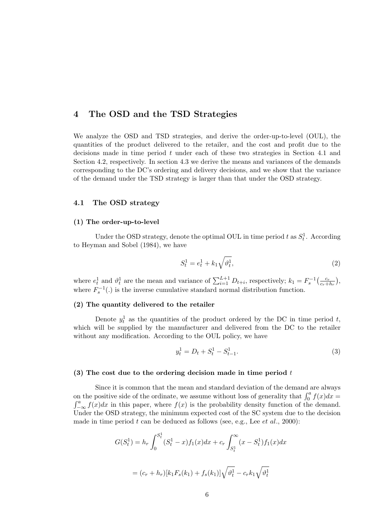### 4 The OSD and the TSD Strategies

We analyze the OSD and TSD strategies, and derive the order-up-to-level (OUL), the quantities of the product delivered to the retailer, and the cost and profit due to the decisions made in time period  $t$  under each of these two strategies in Section 4.1 and Section 4.2, respectively. In section 4.3 we derive the means and variances of the demands corresponding to the DC's ordering and delivery decisions, and we show that the variance of the demand under the TSD strategy is larger than that under the OSD strategy.

#### 4.1 The OSD strategy

#### (1) The order-up-to-level

Under the OSD strategy, denote the optimal OUL in time period  $t$  as  $S_t^1$ . According to Heyman and Sobel (1984), we have

$$
S_t^1 = e_t^1 + k_1 \sqrt{\vartheta_t^1},\tag{2}
$$

where  $e_t^1$  and  $\vartheta_t^1$  are the mean and variance of  $\sum_{i=1}^{L+1} D_{t+i}$ , respectively;  $k_1 = F_s^{-1} \left( \frac{c_r}{c_r + 1} \right)$  $\frac{c_r}{c_r+h_r}\Big),$ where  $F_s^{-1}(.)$  is the inverse cumulative standard normal distribution function.

### (2) The quantity delivered to the retailer

Denote  $y_t^1$  as the quantities of the product ordered by the DC in time period t, which will be supplied by the manufacturer and delivered from the DC to the retailer without any modification. According to the OUL policy, we have

$$
y_t^1 = D_t + S_t^1 - S_{t-1}^1. \tag{3}
$$

#### $(3)$  The cost due to the ordering decision made in time period t

Since it is common that the mean and standard deviation of the demand are always on the positive side of the ordinate, we assume without loss of generality that  $\int_0^a f(x)dx =$  $\int_{-\infty}^{a} f(x)dx$  in this paper, where  $f(x)$  is the probability density function of the demand. Under the OSD strategy, the minimum expected cost of the SC system due to the decision made in time period t can be deduced as follows (see, e.g., Lee *et al.*, 2000):

$$
G(S_t^1) = h_r \int_0^{S_t^1} (S_t^1 - x) f_1(x) dx + c_r \int_{S_t^1}^{\infty} (x - S_t^1) f_1(x) dx
$$

$$
= (c_r + h_r) [k_1 F_s(k_1) + f_s(k_1)] \sqrt{\vartheta_t^1} - c_r k_1 \sqrt{\vartheta_t^1}
$$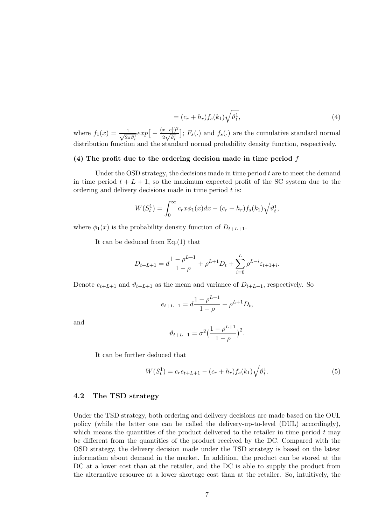$$
= (c_r + h_r) f_s(k_1) \sqrt{\vartheta_t^1}, \tag{4}
$$

where  $f_1(x) = \frac{1}{\sqrt{2x}}$  $\frac{1}{2\pi \vartheta_t^1} exp\big[-\frac{}{}$  $(x-e_t^1)^2$  $\frac{x-e_i^{\prime}}{2\sqrt{\vartheta_i^1}}$ ;  $F_s(.)$  and  $f_s(.)$  are the cumulative standard normal distribution function and the standard normal probability density function, respectively.

#### (4) The profit due to the ordering decision made in time period  $f$

Under the OSD strategy, the decisions made in time period  $t$  are to meet the demand in time period  $t + L + 1$ , so the maximum expected profit of the SC system due to the ordering and delivery decisions made in time period  $t$  is:

$$
W(S_t^1) = \int_0^\infty c_r x \phi_1(x) dx - (c_r + h_r) f_s(k_1) \sqrt{\vartheta_t^1},
$$

where  $\phi_1(x)$  is the probability density function of  $D_{t+L+1}$ .

It can be deduced from Eq.(1) that

$$
D_{t+L+1} = d \frac{1 - \rho^{L+1}}{1 - \rho} + \rho^{L+1} D_t + \sum_{i=0}^{L} \rho^{L-i} \varepsilon_{t+1+i}.
$$

Denote  $e_{t+L+1}$  and  $\vartheta_{t+L+1}$  as the mean and variance of  $D_{t+L+1}$ , respectively. So

$$
e_{t+L+1} = d \frac{1 - \rho^{L+1}}{1 - \rho} + \rho^{L+1} D_t,
$$

and

$$
\vartheta_{t+L+1} = \sigma^2 \Big(\frac{1-\rho^{L+1}}{1-\rho}\Big)^2.
$$

It can be further deduced that

$$
W(S_t^1) = c_r e_{t+L+1} - (c_r + h_r) f_s(k_1) \sqrt{\vartheta_t^1}.
$$
\n(5)

#### 4.2 The TSD strategy

Under the TSD strategy, both ordering and delivery decisions are made based on the OUL policy (while the latter one can be called the delivery-up-to-level (DUL) accordingly), which means the quantities of the product delivered to the retailer in time period  $t$  may be different from the quantities of the product received by the DC. Compared with the OSD strategy, the delivery decision made under the TSD strategy is based on the latest information about demand in the market. In addition, the product can be stored at the DC at a lower cost than at the retailer, and the DC is able to supply the product from the alternative resource at a lower shortage cost than at the retailer. So, intuitively, the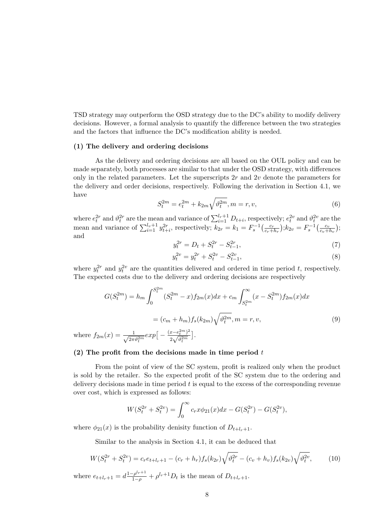TSD strategy may outperform the OSD strategy due to the DC's ability to modify delivery decisions. However, a formal analysis to quantify the difference between the two strategies and the factors that influence the DC's modification ability is needed.

#### (1) The delivery and ordering decisions

As the delivery and ordering decisions are all based on the OUL policy and can be made separately, both processes are similar to that under the OSD strategy, with differences only in the related parameters. Let the superscripts  $2r$  and  $2v$  denote the parameters for the delivery and order decisions, respectively. Following the derivation in Section 4.1, we have

$$
S_t^{2m} = e_t^{2m} + k_{2m} \sqrt{\vartheta_t^{2m}}, m = r, v,
$$
\n(6)

where  $e_t^{2r}$  and  $\vartheta_t^{2r}$  are the mean and variance of  $\sum_{i=1}^{l_r+1} D_{t+i}$ , respectively;  $e_t^{2v}$  and  $\vartheta_t^{2v}$  are the mean and variance of  $\sum_{i=1}^{l_v+1} y_{t+i}^{2r}$ , respectively;  $k_{2r} = k_1 = F_s^{-1} \left( \frac{c_r}{c_r+1} \right)$  $\frac{c_r}{c_r+h_r}; k_{2v} = F_s^{-1}(\frac{c_v}{c_v+h_r})$  $\frac{c_v}{c_v+h_v}\big);$ and

$$
y_t^{2r} = D_t + S_t^{2r} - S_{t-1}^{2r},\tag{7}
$$

$$
y_t^{2v} = y_t^{2r} + S_t^{2v} - S_{t-1}^{2v},\tag{8}
$$

where  $y_t^{2r}$  and  $y_t^{2v}$  are the quantities delivered and ordered in time period t, respectively. The expected costs due to the delivery and ordering decisions are respectively

$$
G(S_t^{2m}) = h_m \int_0^{S_t^{2m}} (S_t^{2m} - x) f_{2m}(x) dx + c_m \int_{S_t^{2m}}^{\infty} (x - S_t^{2m}) f_{2m}(x) dx
$$

$$
= (c_m + h_m) f_s(k_{2m}) \sqrt{\vartheta_t^{2m}}, m = r, v,
$$
(9)
$$
n(x) = \frac{1}{\sqrt{2\pi} \sqrt{2m}} exp\left[-\frac{(x - e_t^{2m})^2}{2\sqrt{2m}}\right].
$$

where  $f_{2m}(x) = \frac{1}{\sqrt{2\pi}}$  $\frac{1}{2\pi \vartheta_t^{2m}} exp\big[-\frac{1}{2}$  $\frac{x-e_t^{-m})^2}{2\sqrt{\vartheta_t^{2m}}}$ 

### (2) The profit from the decisions made in time period  $t$

From the point of view of the SC system, profit is realized only when the product is sold by the retailer. So the expected profit of the SC system due to the ordering and delivery decisions made in time period  $t$  is equal to the excess of the corresponding revenue over cost, which is expressed as follows:

$$
W(S_t^{2r} + S_t^{2v}) = \int_0^\infty c_r x \phi_{21}(x) dx - G(S_t^{2r}) - G(S_t^{2v}),
$$

where  $\phi_{21}(x)$  is the probability denisity function of  $D_{t+l_r+1}$ .

Similar to the analysis in Section 4.1, it can be deduced that

$$
W(S_t^{2r} + S_t^{2v}) = c_r e_{t+l_r+1} - (c_r + h_r) f_s(k_{2r}) \sqrt{\vartheta_t^{2r}} - (c_v + h_v) f_s(k_{2v}) \sqrt{\vartheta_t^{2v}}, \tag{10}
$$

where  $e_{t+l_r+1} = d \frac{1 - \rho^{l_r+1}}{1 - \rho} + \rho^{l_r+1} D_t$  is the mean of  $D_{t+l_r+1}$ .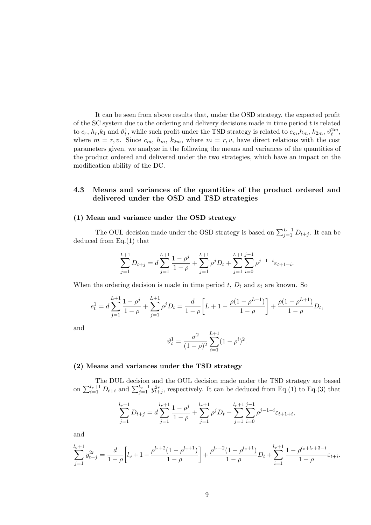It can be seen from above results that, under the OSD strategy, the expected profit of the SC system due to the ordering and delivery decisions made in time period  $t$  is related to  $c_r$ ,  $h_r$ ,  $k_1$  and  $\vartheta_t^1$ , while such profit under the TSD strategy is related to  $c_m$ ,  $h_m$ ,  $k_{2m}$ ,  $\vartheta_t^{2m}$ , where  $m = r, v$ . Since  $c_m$ ,  $h_m$ ,  $k_{2m}$ , where  $m = r, v$ , have direct relations with the cost parameters given, we analyze in the following the means and variances of the quantities of the product ordered and delivered under the two strategies, which have an impact on the modification ability of the DC.

### 4.3 Means and variances of the quantities of the product ordered and delivered under the OSD and TSD strategies

#### (1) Mean and variance under the OSD strategy

The OUL decision made under the OSD strategy is based on  $\sum_{j=1}^{L+1} D_{t+j}$ . It can be deduced from Eq.(1) that

$$
\sum_{j=1}^{L+1} D_{t+j} = d \sum_{j=1}^{L+1} \frac{1-\rho^j}{1-\rho} + \sum_{j=1}^{L+1} \rho^j D_t + \sum_{j=1}^{L+1} \sum_{i=0}^{j-1} \rho^{j-1-i} \varepsilon_{t+1+i}.
$$

When the ordering decision is made in time period t,  $D_t$  and  $\varepsilon_t$  are known. So

$$
e_t^1 = d \sum_{j=1}^{L+1} \frac{1-\rho^j}{1-\rho} + \sum_{j=1}^{L+1} \rho^j D_t = \frac{d}{1-\rho} \bigg[ L + 1 - \frac{\rho(1-\rho^{L+1})}{1-\rho} \bigg] + \frac{\rho(1-\rho^{L+1})}{1-\rho} D_t,
$$

and

$$
\vartheta_t^1 = \frac{\sigma^2}{(1-\rho)^2} \sum_{i=1}^{L+1} (1-\rho^i)^2.
$$

### (2) Means and variances under the TSD strategy

The DUL decision and the OUL decision made under the TSD strategy are based on  $\sum_{i=1}^{l_r+1} D_{t+i}$  and  $\sum_{j=1}^{l_v+1} y_{t+j}^{2r}$ , respectively. It can be deduced from Eq.(1) to Eq.(3) that

$$
\sum_{j=1}^{l_r+1} D_{t+j} = d \sum_{j=1}^{l_r+1} \frac{1-\rho^j}{1-\rho} + \sum_{j=1}^{l_r+1} \rho^j D_t + \sum_{j=1}^{l_r+1} \sum_{i=0}^{j-1} \rho^{j-1-i} \varepsilon_{t+1+i},
$$

and

$$
\sum_{j=1}^{l_v+1} y_{t+j}^{2r} = \frac{d}{1-\rho} \left[ l_v + 1 - \frac{\rho^{l_v+2} (1-\rho^{l_v+1})}{1-\rho} \right] + \frac{\rho^{l_v+2} (1-\rho^{l_v+1})}{1-\rho} D_t + \sum_{i=1}^{l_v+1} \frac{1-\rho^{l_v+l_v+3-i}}{1-\rho} \varepsilon_{t+i}.
$$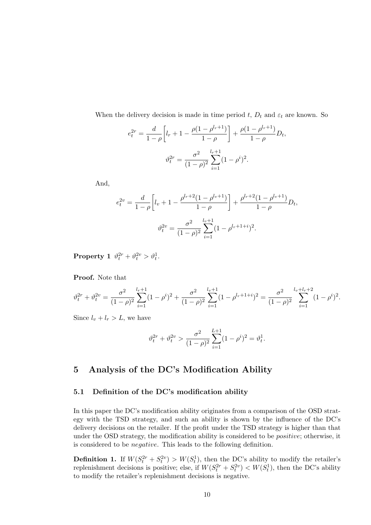When the delivery decision is made in time period  $t, D_t$  and  $\varepsilon_t$  are known. So

$$
e_t^{2r} = \frac{d}{1-\rho} \left[ l_r + 1 - \frac{\rho(1-\rho^{l_r+1})}{1-\rho} \right] + \frac{\rho(1-\rho^{l_r+1})}{1-\rho} D_t,
$$

$$
\vartheta_t^{2r} = \frac{\sigma^2}{(1-\rho)^2} \sum_{i=1}^{l_r+1} (1-\rho^i)^2.
$$

And,

$$
e_t^{2v} = \frac{d}{1-\rho} \left[ l_v + 1 - \frac{\rho^{l_r+2} (1-\rho^{l_v+1})}{1-\rho} \right] + \frac{\rho^{l_r+2} (1-\rho^{l_v+1})}{1-\rho} D_t,
$$
  

$$
\vartheta_t^{2v} = \frac{\sigma^2}{(1-\rho)^2} \sum_{i=1}^{l_v+1} (1-\rho^{l_r+1+i})^2.
$$

Property 1  $\vartheta_t^{2r} + \vartheta_t^{2v} > \vartheta_t^1$ .

Proof. Note that

$$
\vartheta_t^{2r} + \vartheta_t^{2v} = \frac{\sigma^2}{(1-\rho)^2} \sum_{i=1}^{l_r+1} (1-\rho^i)^2 + \frac{\sigma^2}{(1-\rho)^2} \sum_{i=1}^{l_v+1} (1-\rho^{l_r+1+i})^2 = \frac{\sigma^2}{(1-\rho)^2} \sum_{i=1}^{l_v+l_r+2} (1-\rho^i)^2.
$$

Since  $l_v + l_r > L$ , we have

$$
\vartheta_t^{2r} + \vartheta_t^{2v} > \frac{\sigma^2}{(1-\rho)^2} \sum_{i=1}^{L+1} (1-\rho^i)^2 = \vartheta_t^1.
$$

## 5 Analysis of the DC's Modification Ability

### 5.1 Definition of the DC's modification ability

In this paper the DC's modification ability originates from a comparison of the OSD strategy with the TSD strategy, and such an ability is shown by the influence of the DC's delivery decisions on the retailer. If the profit under the TSD strategy is higher than that under the OSD strategy, the modification ability is considered to be *positive*; otherwise, it is considered to be negative. This leads to the following definition.

**Definition 1.** If  $W(S_t^{2r} + S_t^{2v}) > W(S_t^1)$ , then the DC's ability to modify the retailer's replenishment decisions is positive; else, if  $W(S_t^{2r} + S_t^{2v}) < W(S_t^{1})$ , then the DC's ability to modify the retailer's replenishment decisions is negative.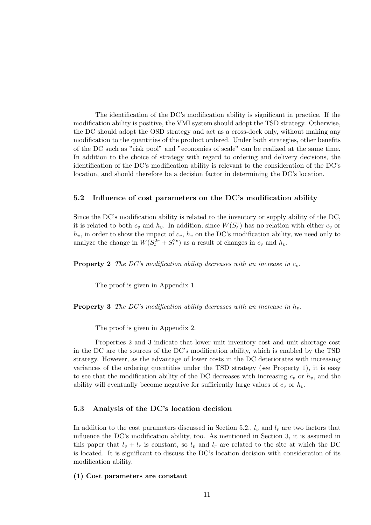The identification of the DC's modification ability is significant in practice. If the modification ability is positive, the VMI system should adopt the TSD strategy. Otherwise, the DC should adopt the OSD strategy and act as a cross-dock only, without making any modification to the quantities of the product ordered. Under both strategies, other benefits of the DC such as "risk pool" and "economies of scale" can be realized at the same time. In addition to the choice of strategy with regard to ordering and delivery decisions, the identification of the DC's modification ability is relevant to the consideration of the DC's location, and should therefore be a decision factor in determining the DC's location.

#### 5.2 Influence of cost parameters on the DC's modification ability

Since the DC's modification ability is related to the inventory or supply ability of the DC, it is related to both  $c_v$  and  $h_v$ . In addition, since  $W(S_t^1)$  has no relation with either  $c_v$  or  $h_v$ , in order to show the impact of  $c_v$ ,  $h_v$  on the DC's modification ability, we need only to analyze the change in  $W(S_t^{2r} + S_t^{2v})$  as a result of changes in  $c_v$  and  $h_v$ .

**Property 2** The DC's modification ability decreases with an increase in  $c_v$ .

The proof is given in Appendix 1.

**Property 3** The DC's modification ability decreases with an increase in  $h_n$ .

The proof is given in Appendix 2.

Properties 2 and 3 indicate that lower unit inventory cost and unit shortage cost in the DC are the sources of the DC's modification ability, which is enabled by the TSD strategy. However, as the advantage of lower costs in the DC deteriorates with increasing variances of the ordering quantities under the TSD strategy (see Property 1), it is easy to see that the modification ability of the DC decreases with increasing  $c_v$  or  $h_v$ , and the ability will eventually become negative for sufficiently large values of  $c_v$  or  $h_v$ .

### 5.3 Analysis of the DC's location decision

In addition to the cost parameters discussed in Section 5.2.,  $l_v$  and  $l_r$  are two factors that influence the DC's modification ability, too. As mentioned in Section 3, it is assumed in this paper that  $l_v + l_r$  is constant, so  $l_v$  and  $l_r$  are related to the site at which the DC is located. It is significant to discuss the DC's location decision with consideration of its modification ability.

(1) Cost parameters are constant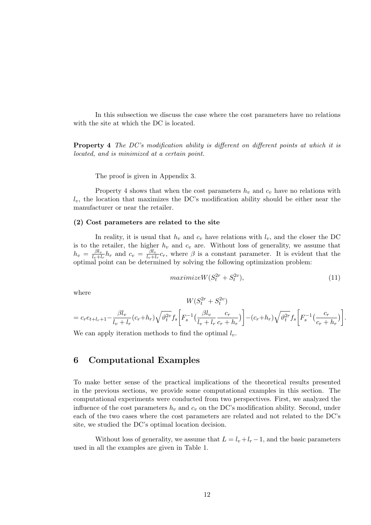In this subsection we discuss the case where the cost parameters have no relations with the site at which the DC is located.

Property 4 The DC's modification ability is different on different points at which it is located, and is minimized at a certain point.

The proof is given in Appendix 3.

Property 4 shows that when the cost parameters  $h_v$  and  $c_v$  have no relations with  $l_v$ , the location that maximizes the DC's modification ability should be either near the manufacturer or near the retailer.

#### (2) Cost parameters are related to the site

In reality, it is usual that  $h_v$  and  $c_v$  have relations with  $l_v$ , and the closer the DC is to the retailer, the higher  $h_v$  and  $c_v$  are. Without loss of generality, we assume that  $h_v = \frac{\beta l_v}{l_v + l_v}$  $\frac{\beta l_v}{l_v+l_r}h_r$  and  $c_v = \frac{\beta l_v}{l_v+l_r}$  $\frac{\beta l_v}{l_v + l_r} c_r$ , where  $\beta$  is a constant parameter. It is evident that the optimal point can be determined by solving the following optimization problem:

$$
maximize W(S_t^{2r} + S_t^{2v}),
$$
\n<sup>(11)</sup>

.

where

$$
W(S_t^{2r} + S_t^{2v})
$$
  
=  $c_r e_{t+l_r+1} - \frac{\beta l_v}{l_v + l_r} (c_r + h_r) \sqrt{\vartheta_t^{2v}} f_s \left[ F_s^{-1} \left( \frac{\beta l_v}{l_v + l_r} \frac{c_r}{c_r + h_r} \right) \right] - (c_r + h_r) \sqrt{\vartheta_t^{2r}} f_s \left[ F_s^{-1} \left( \frac{c_r}{c_r + h_r} \right) \right]$ 

We can apply iteration methods to find the optimal  $l_v$ .

## 6 Computational Examples

To make better sense of the practical implications of the theoretical results presented in the previous sections, we provide some computational examples in this section. The computational experiments were conducted from two perspectives. First, we analyzed the influence of the cost parameters  $h_v$  and  $c_v$  on the DC's modification ability. Second, under each of the two cases where the cost parameters are related and not related to the DC's site, we studied the DC's optimal location decision.

Without loss of generality, we assume that  $L = l_v + l_r - 1$ , and the basic parameters used in all the examples are given in Table 1.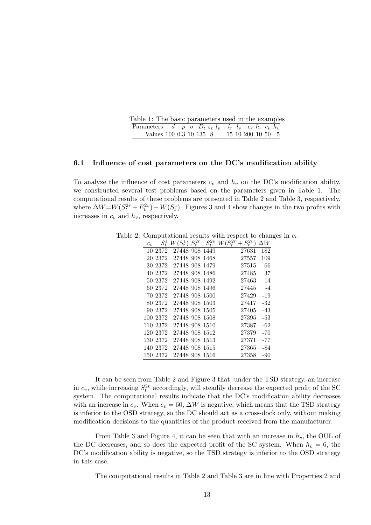Table 1: The basic parameters used in the examples Parameters d  $\rho$  σ  $D_t \varepsilon_t l_v + l_r l_v$   $c_r$   $h_r$   $c_v$   $h_v$ <br>Values 100 0.3 10 135 8 15 10 200 10 50 5 Values 100 0.3 10 135  $\,$  8

### 6.1 Influence of cost parameters on the DC's modification ability

To analyze the influence of cost parameters  $c_v$  and  $h_v$  on the DC's modification ability, we constructed several test problems based on the parameters given in Table 1. The computational results of these problems are presented in Table 2 and Table 3, respectively, where  $\Delta W = W(S_t^{2r} + E_t^{2v}) - W(S_t^1)$ . Figures 3 and 4 show changes in the two profits with increases in  $c_v$  and  $h_v$ , respectively.

|       |          |                                                        |  | omputational results with respect to change |            |
|-------|----------|--------------------------------------------------------|--|---------------------------------------------|------------|
| $c_v$ |          | $S_t^1$ $W(S_t^1)$ $S_t^{2r}$ $S_t^{2v}$ $W(S_t^{2r})$ |  | $+ S_t^{2v}$                                | $\Delta W$ |
|       | 10 2372  | 27448 908 1449                                         |  | 27631                                       | 182        |
|       |          | 20 2372 27448 908 1468                                 |  | 27557 109                                   |            |
|       |          | 30 2372 27448 908 1479                                 |  | 27515                                       | 66         |
|       |          | 40 2372 27448 908 1486                                 |  | 27485                                       | 37         |
|       |          | 50 2372 27448 908 1492                                 |  | 27463                                       | 14         |
|       |          | 60 2372 27448 908 1496                                 |  | 27445 -4                                    |            |
|       |          | 70 2372 27448 908 1500                                 |  | 27429                                       | $-19$      |
|       |          | 80 2372 27448 908 1503                                 |  | 27417                                       | $-32$      |
|       |          | 90 2372 27448 908 1505                                 |  | 27405                                       | $-43$      |
|       |          | 100 2372 27448 908 1508                                |  | 27395                                       | $-53$      |
|       |          | 110 2372 27448 908 1510                                |  | 27387                                       | $-62$      |
|       | 120 2372 | 27448 908 1512                                         |  | 27379                                       | $-70$      |
|       | 130 2372 | 27448 908 1513                                         |  | 27371                                       | $-77$      |
|       |          | 140 2372 27448 908 1515                                |  | 27365                                       | $-84$      |
|       |          | 150 2372 27448 908 1516                                |  | 27358                                       | $-90$      |
|       |          |                                                        |  |                                             |            |

Table 2: Computational results with respect to changes in  $c_v$ 

It can be seen from Table 2 and Figure 3 that, under the TSD strategy, an increase in  $c_v$ , while increasing  $S_t^{2v}$  accordingly, will steadily decrease the expected profit of the SC system. The computational results indicate that the DC's modification ability decreases with an increase in  $c_v$ . When  $c_v = 60$ ,  $\Delta W$  is negative, which means that the TSD strategy is inferior to the OSD strategy, so the DC should act as a cross-dock only, without making modification decisions to the quantities of the product received from the manufacturer.

From Table 3 and Figure 4, it can be seen that with an increase in  $h<sub>v</sub>$ , the OUL of the DC decreases, and so does the expected profit of the SC system. When  $h_v = 6$ , the DC's modification ability is negative, so the TSD strategy is inferior to the OSD strategy in this case.

The computational results in Table 2 and Table 3 are in line with Properties 2 and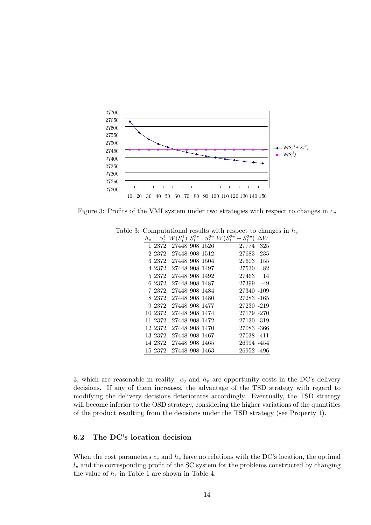

Figure 3: Profits of the VMI system under two strategies with respect to changes in  $c_v$ 

| $S_t^{2r}$<br>$\overline{S^{2v}_t}$<br>$S^1_t$<br>$S_t^{2r}$<br>$h_{v}$<br>$W(S^1_t)$ |             |            |
|---------------------------------------------------------------------------------------|-------------|------------|
|                                                                                       | $S_t^{2v}$  | $\Delta W$ |
| 27448 908 1526<br>1 2372                                                              | 27774       | 325        |
| 2 2372<br>27448 908 1512                                                              | 27683       | 235        |
| 3 2372<br>27448 908 1504                                                              | 27603       | 155        |
| 4 2372<br>27448 908 1497                                                              | 27530       | 82         |
| 5 2372<br>27448 908 1492                                                              | 27463       | 14         |
| 6 2372<br>27448 908 1487                                                              | 27399       | $-49$      |
| 27448 908 1484<br>7 2372                                                              | 27340 -109  |            |
| 8 2372<br>27448 908 1480                                                              | 27283 - 165 |            |
| 9 2372<br>27448 908 1477                                                              | 27230 -219  |            |
| 10 2372<br>27448 908 1474                                                             | 27179 -270  |            |
| 11 2372<br>27448 908 1472                                                             | 27130 -319  |            |
| 12 2372<br>27448 908 1470                                                             | 27083 - 366 |            |
| 13 2372<br>27448 908 1467                                                             | 27038 -411  |            |
| 14 2372<br>27448 908 1465                                                             | 26994 -454  |            |
| 15 2372<br>27448 908 1463                                                             | 26952 -496  |            |

Table 3: Computational results with respect to changes in  $h_v$ 

3, which are reasonable in reality.  $c_v$  and  $h_v$  are opportunity costs in the DC's delivery decisions. If any of them increases, the advantage of the TSD strategy with regard to modifying the delivery decisions deteriorates accordingly. Eventually, the TSD strategy will become inferior to the OSD strategy, considering the higher variations of the quantities of the product resulting from the decisions under the TSD strategy (see Property 1).

### 6.2 The DC's location decision

When the cost parameters  $c_v$  and  $h_v$  have no relations with the DC's location, the optimal  $l_v$  and the corresponding profit of the SC system for the problems constructed by changing the value of  $h_r$  in Table 1 are shown in Table 4.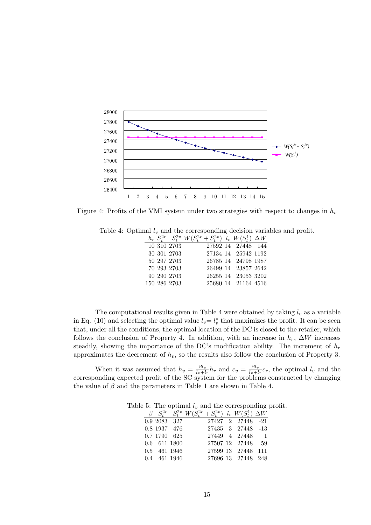

Figure 4: Profits of the VMI system under two strategies with respect to changes in  $h_v$ 

Table 4: Optimal  $l_v$  and the corresponding decision variables and profit.

|  |              | $h_r S_t^{2r} S_t^{2v} W(S_t^{2r} + S_t^{2v}) l_v W(S_t^1) \Delta W$ |                     |  |
|--|--------------|----------------------------------------------------------------------|---------------------|--|
|  | 10 310 2703  |                                                                      | 27592 14 27448 144  |  |
|  | 30 301 2703  |                                                                      | 27134 14 25942 1192 |  |
|  | 50 297 2703  |                                                                      | 26785 14 24798 1987 |  |
|  | 70 293 2703  |                                                                      | 26499 14 23857 2642 |  |
|  | 90 290 2703  |                                                                      | 26255 14 23053 3202 |  |
|  | 150 286 2703 |                                                                      | 25680 14 21164 4516 |  |

The computational results given in Table 4 were obtained by taking  $l_v$  as a variable in Eq. (10) and selecting the optimal value  $l_v = l_v^*$  $_{v}^{*}$  that maximizes the profit. It can be seen that, under all the conditions, the optimal location of the DC is closed to the retailer, which follows the conclusion of Property 4. In addition, with an increase in  $h_r$ ,  $\Delta W$  increases steadily, showing the importance of the DC's modification ability. The increment of  $h_r$ approximates the decrement of  $h_v$ , so the results also follow the conclusion of Property 3.

When it was assumed that  $h_v = \frac{\beta l_v}{l_v + l_v}$  $\frac{\beta l_v}{l_v+l_r}h_r$  and  $c_v = \frac{\beta l_v}{l_v+l_r}$  $\frac{\beta l_v}{l_v + l_r} c_r$ , the optimal  $l_v$  and the corresponding expected profit of the SC system for the problems constructed by changing the value of  $\beta$  and the parameters in Table 1 are shown in Table 4.

Table 5: The optimal  $l_v$  and the corresponding profit.

|              | $\beta$ $S_t^{2r}$ $S_t^{2v}$ $W(S_t^{2r} + S_t^{2v})$ $l_v$ $W(S_t^{1}) \Delta W$ |                    |      |
|--------------|------------------------------------------------------------------------------------|--------------------|------|
| 0.9 2083 327 |                                                                                    | 27427 2 27448 -21  |      |
| 0.8 1937 476 | 27435 3 27448 -13                                                                  |                    |      |
| 0.7 1790 625 |                                                                                    | 27449 4 27448      | $-1$ |
| 0.6 611 1800 |                                                                                    | 27507 12 27448 59  |      |
| 0.5 461 1946 |                                                                                    | 27599 13 27448 111 |      |
| 0.4 461 1946 |                                                                                    | 27696 13 27448 248 |      |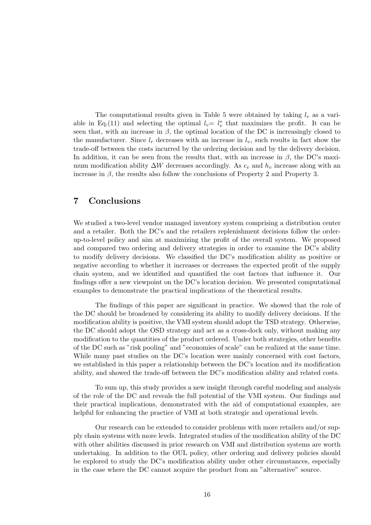The computational results given in Table 5 were obtained by taking  $l_v$  as a variable in Eq.(11) and selecting the optimal  $l_v = l_v^*$  $\psi$ <sup>\*</sup> that maximizes the profit. It can be seen that, with an increase in  $\beta$ , the optimal location of the DC is increasingly closed to the manufacturer. Since  $l_r$  decreases with an increase in  $l_v$ , such results in fact show the trade-off between the costs incurred by the ordering decision and by the delivery decision. In addition, it can be seen from the results that, with an increase in  $\beta$ , the DC's maximum modification ability  $\Delta W$  decreases accordingly. As  $c_v$  and  $h_v$  increase along with an increase in  $\beta$ , the results also follow the conclusions of Property 2 and Property 3.

# 7 Conclusions

We studied a two-level vendor managed inventory system comprising a distribution center and a retailer. Both the DC's and the retailers replenishment decisions follow the orderup-to-level policy and aim at maximizing the profit of the overall system. We proposed and compared two ordering and delivery strategies in order to examine the DC's ability to modify delivery decisions. We classified the DC's modification ability as positive or negative according to whether it increases or decreases the expected profit of the supply chain system, and we identified and quantified the cost factors that influence it. Our findings offer a new viewpoint on the DC's location decision. We presented computational examples to demonstrate the practical implications of the theoretical results.

The findings of this paper are significant in practice. We showed that the role of the DC should be broadened by considering its ability to modify delivery decisions. If the modification ability is positive, the VMI system should adopt the TSD strategy. Otherwise, the DC should adopt the OSD strategy and act as a cross-dock only, without making any modification to the quantities of the product ordered. Under both strategies, other benefits of the DC such as "risk pooling" and "economies of scale" can be realized at the same time. While many past studies on the DC's location were mainly concerned with cost factors, we established in this paper a relationship between the DC's location and its modification ability, and showed the trade-off between the DC's modification ability and related costs.

To sum up, this study provides a new insight through careful modeling and analysis of the role of the DC and reveals the full potential of the VMI system. Our findings and their practical implications, demonstrated with the aid of computational examples, are helpful for enhancing the practice of VMI at both strategic and operational levels.

Our research can be extended to consider problems with more retailers and/or supply chain systems with more levels. Integrated studies of the modification ability of the DC with other abilities discussed in prior research on VMI and distribution systems are worth undertaking. In addition to the OUL policy, other ordering and delivery policies should be explored to study the DC's modification ability under other circumstances, especially in the case where the DC cannot acquire the product from an "alternative" source.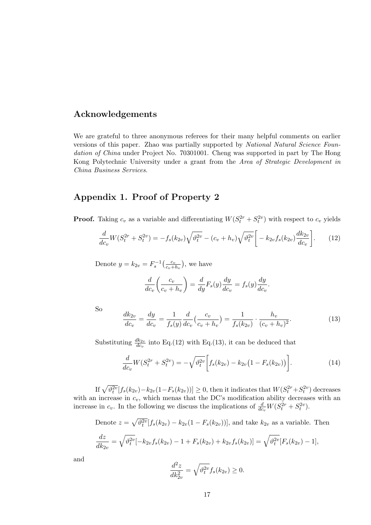### Acknowledgements

We are grateful to three anonymous referees for their many helpful comments on earlier versions of this paper. Zhao was partially supported by National Natural Science Foundation of China under Project No. 70301001. Cheng was supported in part by The Hong Kong Polytechnic University under a grant from the Area of Strategic Development in China Business Services.

# Appendix 1. Proof of Property 2

**Proof.** Taking  $c_v$  as a variable and differentiating  $W(S_t^{2r} + S_t^{2v})$  with respect to  $c_v$  yields

$$
\frac{d}{dc_v}W(S_t^{2r} + S_t^{2v}) = -f_s(k_{2v})\sqrt{\vartheta_t^{2v}} - (c_v + h_v)\sqrt{\vartheta_t^{2v}} \left[ -k_{2v}f_s(k_{2v})\frac{dk_{2v}}{dc_v} \right].
$$
 (12)

Denote  $y = k_{2v} = F_s^{-1} \left( \frac{c_v}{c_v + c_v} \right)$  $\frac{c_v}{c_v+h_v}$ , we have

$$
\frac{d}{dc_v}\left(\frac{c_v}{c_v+h_v}\right) = \frac{d}{dy}F_s(y)\frac{dy}{dc_v} = f_s(y)\frac{dy}{dc_v}.
$$

So

$$
\frac{dk_{2v}}{dc_v} = \frac{dy}{dc_v} = \frac{1}{f_s(y)} \frac{d}{dc_v} \left(\frac{c_v}{c_v + h_v}\right) = \frac{1}{f_s(k_{2v})} \cdot \frac{h_v}{(c_v + h_v)^2}.\tag{13}
$$

Substituting  $\frac{dk_{2v}}{dc_v}$  into Eq.(12) with Eq.(13), it can be deduced that

$$
\frac{d}{dc_v}W(S_t^{2r} + S_t^{2v}) = -\sqrt{\vartheta_t^{2v}} \bigg[ f_s(k_{2v}) - k_{2v} \big( 1 - F_s(k_{2v}) \big) \bigg]. \tag{14}
$$

If  $\sqrt{\vartheta_t^{2v}}[f_s(k_{2v})-k_{2v}(1-F_s(k_{2v}))] \ge 0$ , then it indicates that  $W(S_t^{2r}+S_t^{2v})$  decreases with an increase in  $c_v$ , which menas that the DC's modification ability decreases with an increase in  $c_v$ . In the following we discuss the implications of  $\frac{d}{dc_v}W(S_t^{2r} + S_t^{2v})$ .

Denote 
$$
z = \sqrt{\vartheta_t^{2v}} [f_s(k_{2v}) - k_{2v}(1 - F_s(k_{2v}))]
$$
, and take  $k_{2v}$  as a variable. Then  
\n
$$
\frac{dz}{dk_{2v}} = \sqrt{\vartheta_t^{2v}} [-k_{2v}f_s(k_{2v}) - 1 + F_s(k_{2v}) + k_{2v}f_s(k_{2v})] = \sqrt{\vartheta_t^{2v}} [F_s(k_{2v}) - 1],
$$

and

$$
\frac{d^2z}{dk_{2v}^2} = \sqrt{\vartheta_t^{2v}} f_s(k_{2v}) \ge 0.
$$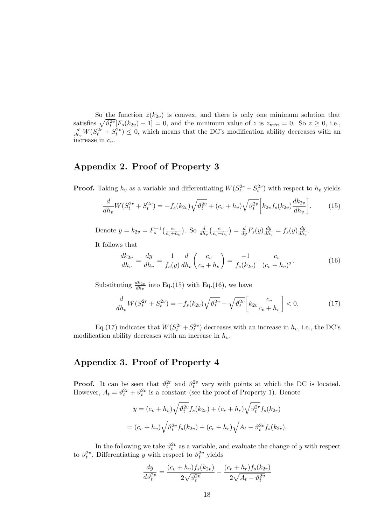So the function  $z(k_{2v})$  is convex, and there is only one minimum solution that satisfies  $\sqrt{\vartheta_t^{2v}}[F_s(k_{2v})-1] = 0$ , and the minimum value of z is  $z_{min} = 0$ . So  $z \ge 0$ , i.e.,  $\frac{d}{dc_v}W(S_t^{2r} + S_t^{2v}) \le 0$ , which means that the DC's modification ability decreases with an increase in  $c_v$ .

# Appendix 2. Proof of Property 3

**Proof.** Taking  $h_v$  as a variable and differentiating  $W(S_t^{2r} + S_t^{2v})$  with respect to  $h_v$  yields

$$
\frac{d}{dh_v}W(S_t^{2r} + S_t^{2v}) = -f_s(k_{2v})\sqrt{\vartheta_t^{2v}} + (c_v + h_v)\sqrt{\vartheta_t^{2v}} \left[k_{2v}f_s(k_{2v})\frac{dk_{2v}}{dh_v}\right].
$$
\n(15)

Denote  $y = k_{2v} = F_s^{-1} \left( \frac{c_v}{c_v + c_v} \right)$  $\frac{c_v}{c_v+h_v}$ ). So  $\frac{d}{dh_v}\left(\frac{c_v}{c_v+h_v}\right)$  $\frac{c_v}{c_v+h_v}\big)=\frac{d}{dy}F_s(y)\frac{dy}{dh_v}$  $\frac{dy}{dh_v} = f_s(y) \frac{dy}{dh_v}$  $\frac{dy}{dh_v}$ .

It follows that

$$
\frac{dk_{2v}}{dh_v} = \frac{dy}{dh_v} = \frac{1}{f_s(y)} \frac{d}{dh_v} \left( \frac{c_v}{c_v + h_v} \right) = \frac{-1}{f_s(k_{2v})} \cdot \frac{c_v}{(c_v + h_v)^2}.
$$
\n(16)

Substituting  $\frac{dk_{2v}}{dh_v}$  into Eq.(15) with Eq.(16), we have

$$
\frac{d}{dh_v}W(S_t^{2r} + S_t^{2v}) = -f_s(k_{2v})\sqrt{\vartheta_t^{2v}} - \sqrt{\vartheta_t^{2v}} \left[k_{2v}\frac{c_v}{c_v + h_v}\right] < 0.
$$
\n(17)

Eq.(17) indicates that  $W(S_t^{2r} + S_t^{2v})$  decreases with an increase in  $h_v$ , i.e., the DC's modification ability decreases with an increase in  $h_v$ .

### Appendix 3. Proof of Property 4

**Proof.** It can be seen that  $\vartheta_t^{2r}$  and  $\vartheta_t^{2v}$  vary with points at which the DC is located. However,  $A_t = \vartheta_t^{2r} + \vartheta_t^{2v}$  is a constant (see the proof of Property 1). Denote

$$
y = (c_v + h_v) \sqrt{\vartheta_t^{2v}} f_s(k_{2v}) + (c_r + h_r) \sqrt{\vartheta_t^{2r}} f_s(k_{2r})
$$
  
=  $(c_v + h_v) \sqrt{\vartheta_t^{2v}} f_s(k_{2v}) + (c_r + h_r) \sqrt{A_t - \vartheta_t^{2v}} f_s(k_{2r}).$ 

In the following we take  $\vartheta_t^{2v}$  as a variable, and evaluate the change of y with respect to  $\vartheta_t^{2v}$ . Differentiating y with respect to  $\vartheta_t^{2v}$  yields

$$
\frac{dy}{d\theta_t^{2v}} = \frac{(c_v + h_v)f_s(k_{2v})}{2\sqrt{\theta_t^{2v}}} - \frac{(c_r + h_r)f_s(k_{2r})}{2\sqrt{A_t - \theta_t^{2v}}}
$$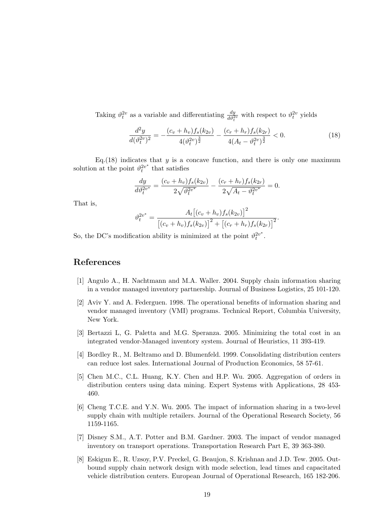Taking  $\vartheta_t^{2v}$  as a variable and differentiating  $\frac{dy}{d\vartheta_t^{2v}}$  with respect to  $\vartheta_t^{2v}$  yields

$$
\frac{d^2y}{d(\vartheta_t^{2v})^2} = -\frac{(c_v + h_v)f_s(k_{2v})}{4(\vartheta_t^{2v})^{\frac{3}{2}}} - \frac{(c_r + h_r)f_s(k_{2r})}{4(A_t - \vartheta_t^{2v})^{\frac{3}{2}}} < 0.
$$
\n(18)

Eq.(18) indicates that  $y$  is a concave function, and there is only one maximum solution at the point  $\vartheta_t^{2v^*}$  $t^{2v^*}$  that satisfies

$$
\frac{dy}{d\vartheta_t^{2v^*}} = \frac{(c_v + h_v)f_s(k_{2v})}{2\sqrt{\vartheta_t^{2v^*}}} - \frac{(c_r + h_r)f_s(k_{2r})}{2\sqrt{A_t - \vartheta_t^{2v^*}}} = 0.
$$

That is,

$$
\vartheta_t^{2v^*} = \frac{A_t [(c_v + h_v) f_s(k_{2v})]^2}{[(c_v + h_v) f_s(k_{2v})]^2 + [(c_r + h_r) f_s(k_{2r})]^2}.
$$

So, the DC's modification ability is minimized at the point  $\vartheta_t^{2v^*}$  $\frac{2v^*}{t}$ .

### References

- [1] Angulo A., H. Nachtmann and M.A. Waller. 2004. Supply chain information sharing in a vendor managed inventory partnership. Journal of Business Logistics, 25 101-120.
- [2] Aviv Y. and A. Federguen. 1998. The operational benefits of information sharing and vendor managed inventory (VMI) programs. Technical Report, Columbia University, New York.
- [3] Bertazzi L, G. Paletta and M.G. Speranza. 2005. Minimizing the total cost in an integrated vendor-Managed inventory system. Journal of Heuristics, 11 393-419.
- [4] Bordley R., M. Beltramo and D. Blumenfeld. 1999. Consolidating distribution centers can reduce lost sales. International Journal of Production Economics, 58 57-61.
- [5] Chen M.C., C.L. Huang, K.Y. Chen and H.P. Wu. 2005. Aggregation of orders in distribution centers using data mining. Expert Systems with Applications, 28 453- 460.
- [6] Cheng T.C.E. and Y.N. Wu. 2005. The impact of information sharing in a two-level supply chain with multiple retailers. Journal of the Operational Research Society, 56 1159-1165.
- [7] Disney S.M., A.T. Potter and B.M. Gardner. 2003. The impact of vendor managed inventory on transport operations. Transportation Research Part E, 39 363-380.
- [8] Eskigun E., R. Uzsoy, P.V. Preckel, G. Beaujon, S. Krishnan and J.D. Tew. 2005. Outbound supply chain network design with mode selection, lead times and capacitated vehicle distribution centers. European Journal of Operational Research, 165 182-206.